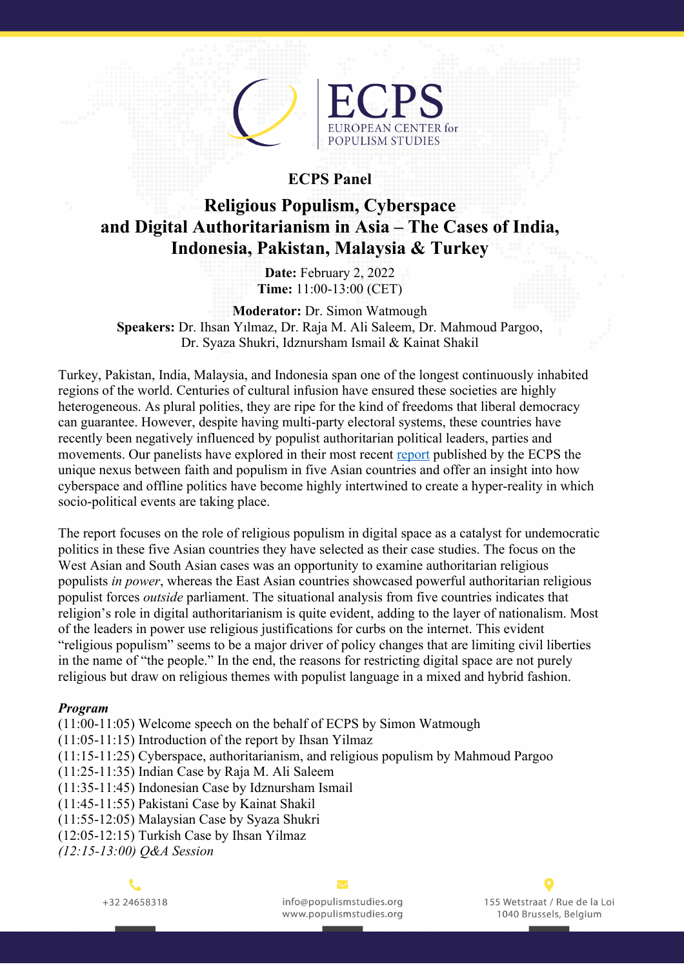

## **ECPS Panel**

## **Religious Populism, Cyberspace and Digital Authoritarianism in Asia – The Cases of India, Indonesia, Pakistan, Malaysia & Turkey**

**Date:** February 2, 2022 **Time:** 11:00-13:00 (CET)

**Moderator:** Dr. Simon Watmough **Speakers:** Dr. Ihsan Yılmaz, Dr. Raja M. Ali Saleem, Dr. Mahmoud Pargoo, Dr. Syaza Shukri, Idznursham Ismail & Kainat Shakil

Turkey, Pakistan, India, Malaysia, and Indonesia span one of the longest continuously inhabited regions of the world. Centuries of cultural infusion have ensured these societies are highly heterogeneous. As plural polities, they are ripe for the kind of freedoms that liberal democracy can guarantee. However, despite having multi-party electoral systems, these countries have recently been negatively influenced by populist authoritarian political leaders, parties and movements. Our panelists have explored in their most recent report published by the ECPS the unique nexus between faith and populism in five Asian countries and offer an insight into how cyberspace and offline politics have become highly intertwined to create a hyper-reality in which socio-political events are taking place.

The report focuses on the role of religious populism in digital space as a catalyst for undemocratic politics in these five Asian countries they have selected as their case studies. The focus on the West Asian and South Asian cases was an opportunity to examine authoritarian religious populists *in power*, whereas the East Asian countries showcased powerful authoritarian religious populist forces *outside* parliament. The situational analysis from five countries indicates that religion's role in digital authoritarianism is quite evident, adding to the layer of nationalism. Most of the leaders in power use religious justifications for curbs on the internet. This evident "religious populism" seems to be a major driver of policy changes that are limiting civil liberties in the name of "the people." In the end, the reasons for restricting digital space are not purely religious but draw on religious themes with populist language in a mixed and hybrid fashion.

## *Program*

(11:00-11:05) Welcome speech on the behalf of ECPS by Simon Watmough (11:05-11:15) Introduction of the report by Ihsan Yilmaz (11:15-11:25) Cyberspace, authoritarianism, and religious populism by Mahmoud Pargoo (11:25-11:35) Indian Case by Raja M. Ali Saleem (11:35-11:45) Indonesian Case by Idznursham Ismail (11:45-11:55) Pakistani Case by Kainat Shakil (11:55-12:05) Malaysian Case by Syaza Shukri (12:05-12:15) Turkish Case by Ihsan Yilmaz

*(12:15-13:00) Q&A Session*



info@populismstudies.org www.populismstudies.org